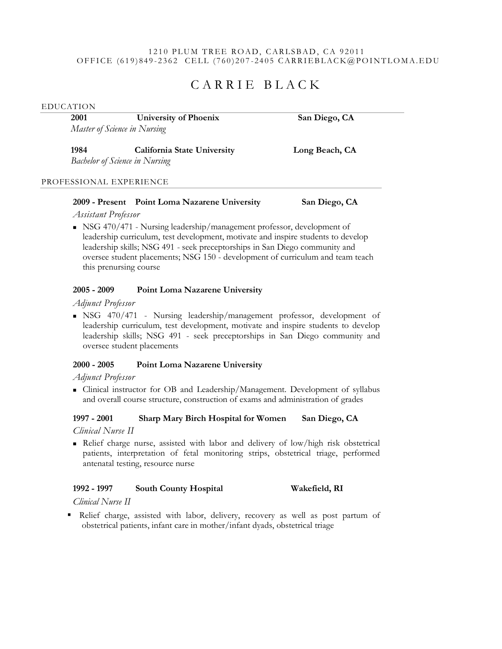### 1210 PLUM TREE ROAD, CARLSBAD, CA 92011 OFFICE  $(619)849 - 2362$  CELL  $(760)207 - 2405$  CARRIEBLACK@POINTLOMA.EDU

# CARRIE BLACK

EDUCATION

**2001 University of Phoenix San Diego, CA** *Master of Science in Nursing*

**1984 California State University Long Beach, CA** *Bachelor of Science in Nursing*

PROFESSIONAL EXPERIENCE

# **2009 - Present Point Loma Nazarene University San Diego, CA**

*Assistant Professor*

 $\blacksquare$  NSG 470/471 - Nursing leadership/management professor, development of leadership curriculum, test development, motivate and inspire students to develop leadership skills; NSG 491 - seek preceptorships in San Diego community and oversee student placements; NSG 150 - development of curriculum and team teach this prenursing course

# **2005 - 2009 Point Loma Nazarene University**

*Adjunct Professor*

 NSG 470/471 - Nursing leadership/management professor, development of leadership curriculum, test development, motivate and inspire students to develop leadership skills; NSG 491 - seek preceptorships in San Diego community and oversee student placements

# **2000 - 2005 Point Loma Nazarene University**

### *Adjunct Professor*

 Clinical instructor for OB and Leadership/Management. Development of syllabus and overall course structure, construction of exams and administration of grades

# **1997 - 2001 Sharp Mary Birch Hospital for Women San Diego, CA**

*Clinical Nurse II*

 Relief charge nurse, assisted with labor and delivery of low/high risk obstetrical patients, interpretation of fetal monitoring strips, obstetrical triage, performed antenatal testing, resource nurse

# **1992 - 1997 South County Hospital Wakefield, RI**

*Clinical Nurse II*

 Relief charge, assisted with labor, delivery, recovery as well as post partum of obstetrical patients, infant care in mother/infant dyads, obstetrical triage